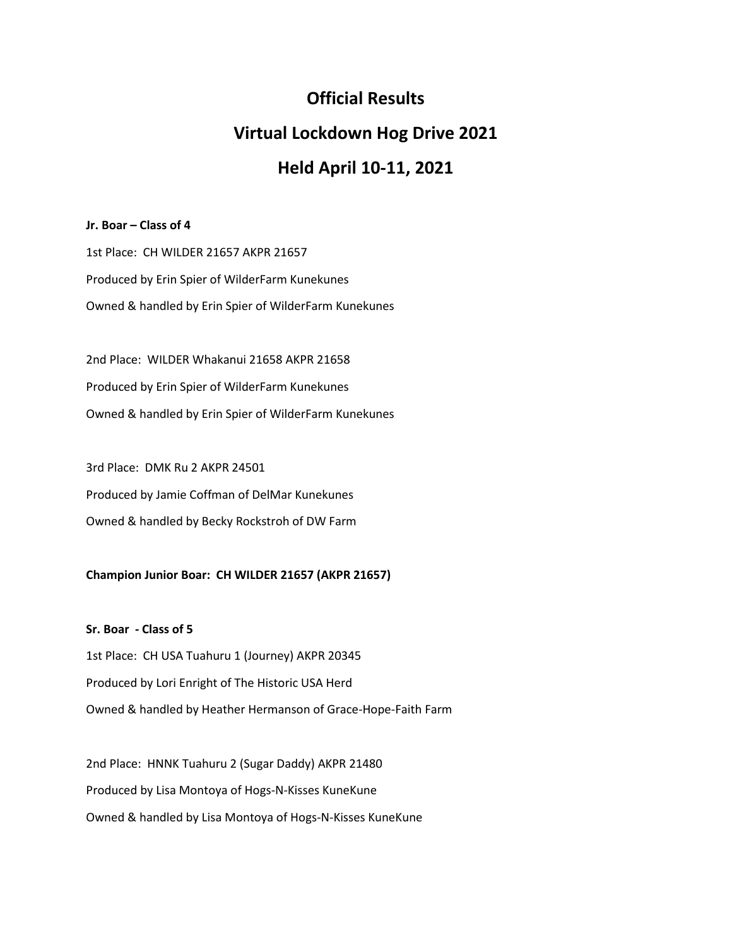# **Official Results**

# **Virtual Lockdown Hog Drive 2021**

## **Held April 10-11, 2021**

#### **Jr. Boar – Class of 4**

1st Place: CH WILDER 21657 AKPR 21657 Produced by Erin Spier of WilderFarm Kunekunes Owned & handled by Erin Spier of WilderFarm Kunekunes

2nd Place: WILDER Whakanui 21658 AKPR 21658 Produced by Erin Spier of WilderFarm Kunekunes Owned & handled by Erin Spier of WilderFarm Kunekunes

3rd Place: DMK Ru 2 AKPR 24501 Produced by Jamie Coffman of DelMar Kunekunes Owned & handled by Becky Rockstroh of DW Farm

### **Champion Junior Boar: CH WILDER 21657 (AKPR 21657)**

**Sr. Boar - Class of 5** 1st Place: CH USA Tuahuru 1 (Journey) AKPR 20345 Produced by Lori Enright of The Historic USA Herd Owned & handled by Heather Hermanson of Grace-Hope-Faith Farm

2nd Place: HNNK Tuahuru 2 (Sugar Daddy) AKPR 21480 Produced by Lisa Montoya of Hogs-N-Kisses KuneKune Owned & handled by Lisa Montoya of Hogs-N-Kisses KuneKune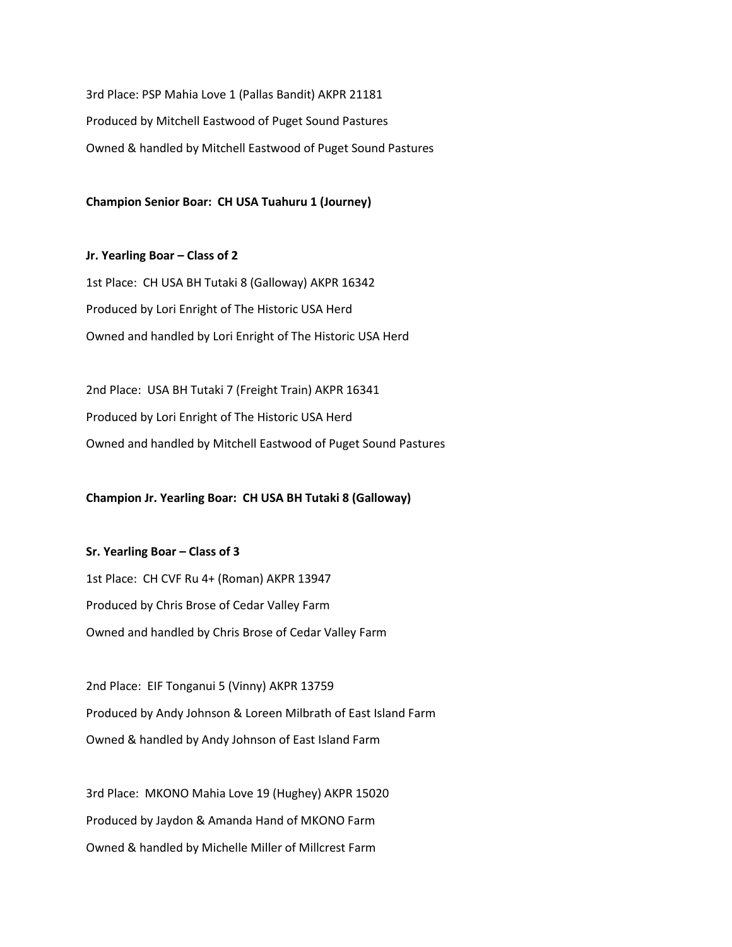3rd Place: PSP Mahia Love 1 (Pallas Bandit) AKPR 21181 Produced by Mitchell Eastwood of Puget Sound Pastures Owned & handled by Mitchell Eastwood of Puget Sound Pastures

**Champion Senior Boar: CH USA Tuahuru 1 (Journey)**

**Jr. Yearling Boar – Class of 2** 1st Place: CH USA BH Tutaki 8 (Galloway) AKPR 16342 Produced by Lori Enright of The Historic USA Herd Owned and handled by Lori Enright of The Historic USA Herd

2nd Place: USA BH Tutaki 7 (Freight Train) AKPR 16341 Produced by Lori Enright of The Historic USA Herd Owned and handled by Mitchell Eastwood of Puget Sound Pastures

**Champion Jr. Yearling Boar: CH USA BH Tutaki 8 (Galloway)**

**Sr. Yearling Boar – Class of 3** 1st Place: CH CVF Ru 4+ (Roman) AKPR 13947 Produced by Chris Brose of Cedar Valley Farm Owned and handled by Chris Brose of Cedar Valley Farm

2nd Place: EIF Tonganui 5 (Vinny) AKPR 13759 Produced by Andy Johnson & Loreen Milbrath of East Island Farm Owned & handled by Andy Johnson of East Island Farm

3rd Place: MKONO Mahia Love 19 (Hughey) AKPR 15020 Produced by Jaydon & Amanda Hand of MKONO Farm Owned & handled by Michelle Miller of Millcrest Farm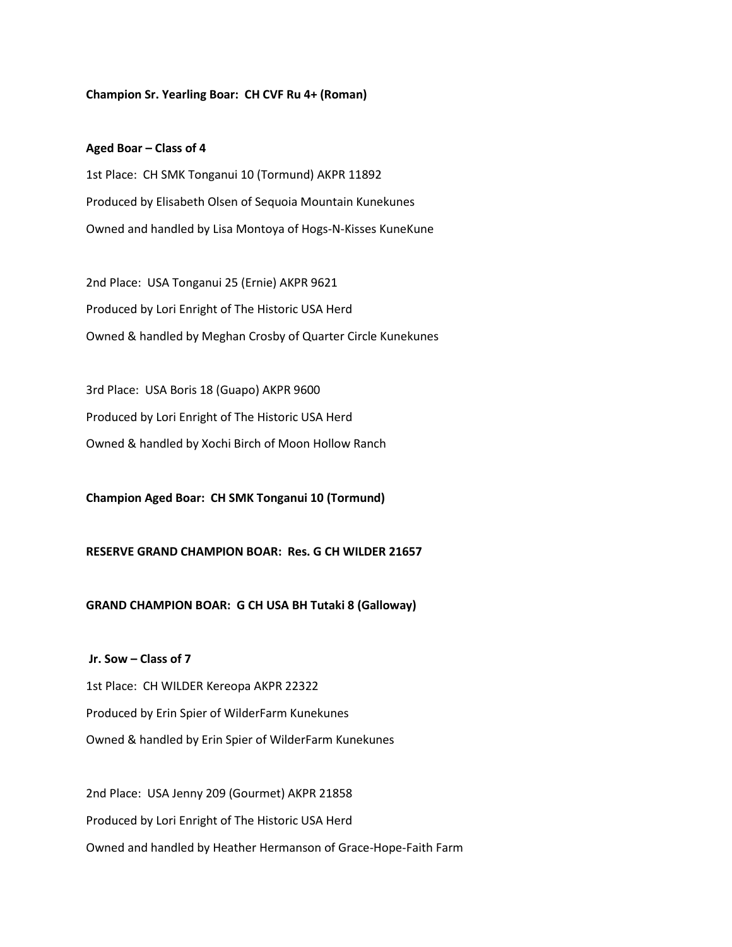#### **Champion Sr. Yearling Boar: CH CVF Ru 4+ (Roman)**

#### **Aged Boar – Class of 4**

1st Place: CH SMK Tonganui 10 (Tormund) AKPR 11892 Produced by Elisabeth Olsen of Sequoia Mountain Kunekunes Owned and handled by Lisa Montoya of Hogs-N-Kisses KuneKune

2nd Place: USA Tonganui 25 (Ernie) AKPR 9621 Produced by Lori Enright of The Historic USA Herd Owned & handled by Meghan Crosby of Quarter Circle Kunekunes

3rd Place: USA Boris 18 (Guapo) AKPR 9600 Produced by Lori Enright of The Historic USA Herd Owned & handled by Xochi Birch of Moon Hollow Ranch

**Champion Aged Boar: CH SMK Tonganui 10 (Tormund)**

#### **RESERVE GRAND CHAMPION BOAR: Res. G CH WILDER 21657**

#### **GRAND CHAMPION BOAR: G CH USA BH Tutaki 8 (Galloway)**

**Jr. Sow – Class of 7** 1st Place: CH WILDER Kereopa AKPR 22322 Produced by Erin Spier of WilderFarm Kunekunes Owned & handled by Erin Spier of WilderFarm Kunekunes

2nd Place: USA Jenny 209 (Gourmet) AKPR 21858 Produced by Lori Enright of The Historic USA Herd Owned and handled by Heather Hermanson of Grace-Hope-Faith Farm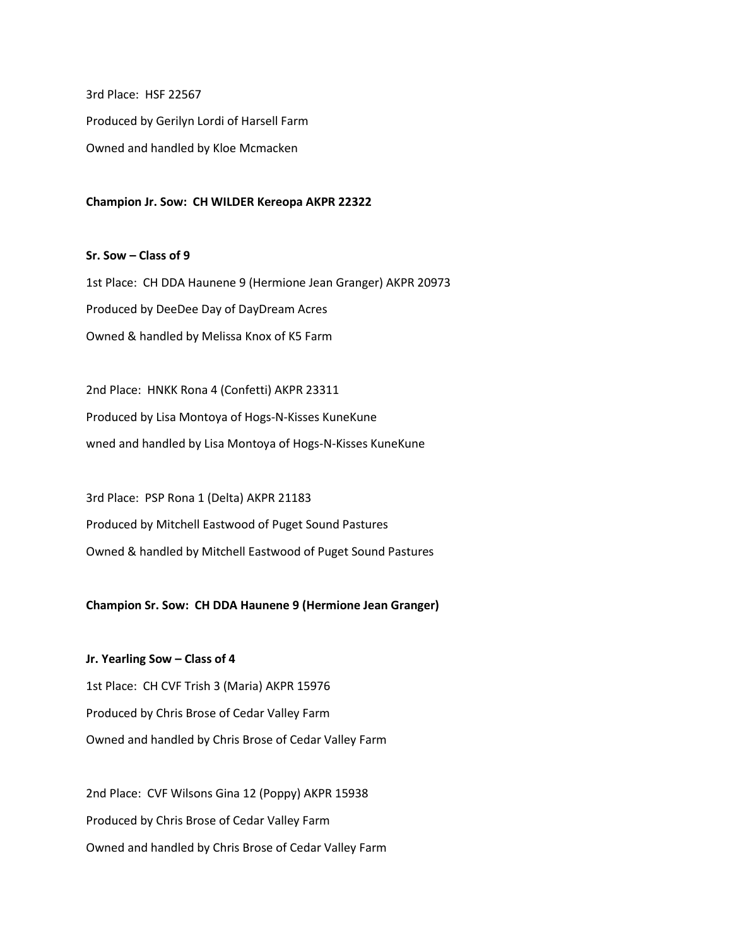3rd Place: HSF 22567 Produced by Gerilyn Lordi of Harsell Farm Owned and handled by Kloe Mcmacken

**Champion Jr. Sow: CH WILDER Kereopa AKPR 22322**

**Sr. Sow – Class of 9** 1st Place: CH DDA Haunene 9 (Hermione Jean Granger) AKPR 20973 Produced by DeeDee Day of DayDream Acres Owned & handled by Melissa Knox of K5 Farm

2nd Place: HNKK Rona 4 (Confetti) AKPR 23311 Produced by Lisa Montoya of Hogs-N-Kisses KuneKune wned and handled by Lisa Montoya of Hogs-N-Kisses KuneKune

3rd Place: PSP Rona 1 (Delta) AKPR 21183 Produced by Mitchell Eastwood of Puget Sound Pastures Owned & handled by Mitchell Eastwood of Puget Sound Pastures

**Champion Sr. Sow: CH DDA Haunene 9 (Hermione Jean Granger)**

**Jr. Yearling Sow – Class of 4** 1st Place: CH CVF Trish 3 (Maria) AKPR 15976 Produced by Chris Brose of Cedar Valley Farm Owned and handled by Chris Brose of Cedar Valley Farm

2nd Place: CVF Wilsons Gina 12 (Poppy) AKPR 15938 Produced by Chris Brose of Cedar Valley Farm Owned and handled by Chris Brose of Cedar Valley Farm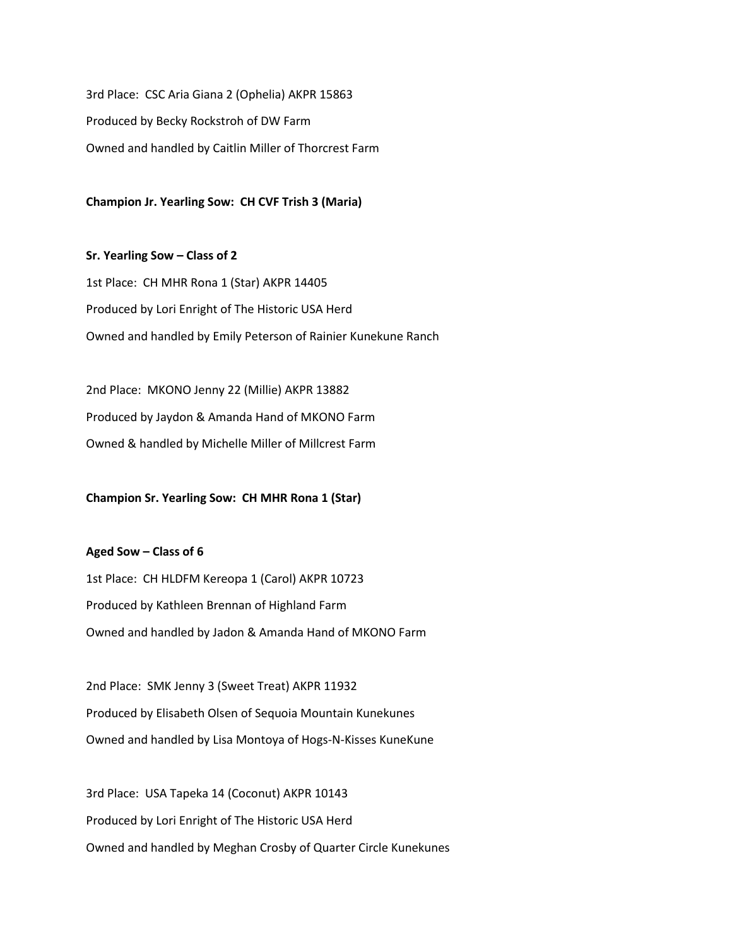3rd Place: CSC Aria Giana 2 (Ophelia) AKPR 15863 Produced by Becky Rockstroh of DW Farm Owned and handled by Caitlin Miller of Thorcrest Farm

**Champion Jr. Yearling Sow: CH CVF Trish 3 (Maria)**

**Sr. Yearling Sow – Class of 2** 1st Place: CH MHR Rona 1 (Star) AKPR 14405 Produced by Lori Enright of The Historic USA Herd Owned and handled by Emily Peterson of Rainier Kunekune Ranch

2nd Place: MKONO Jenny 22 (Millie) AKPR 13882 Produced by Jaydon & Amanda Hand of MKONO Farm Owned & handled by Michelle Miller of Millcrest Farm

**Champion Sr. Yearling Sow: CH MHR Rona 1 (Star)**

**Aged Sow – Class of 6**

1st Place: CH HLDFM Kereopa 1 (Carol) AKPR 10723 Produced by Kathleen Brennan of Highland Farm Owned and handled by Jadon & Amanda Hand of MKONO Farm

2nd Place: SMK Jenny 3 (Sweet Treat) AKPR 11932 Produced by Elisabeth Olsen of Sequoia Mountain Kunekunes Owned and handled by Lisa Montoya of Hogs-N-Kisses KuneKune

3rd Place: USA Tapeka 14 (Coconut) AKPR 10143 Produced by Lori Enright of The Historic USA Herd Owned and handled by Meghan Crosby of Quarter Circle Kunekunes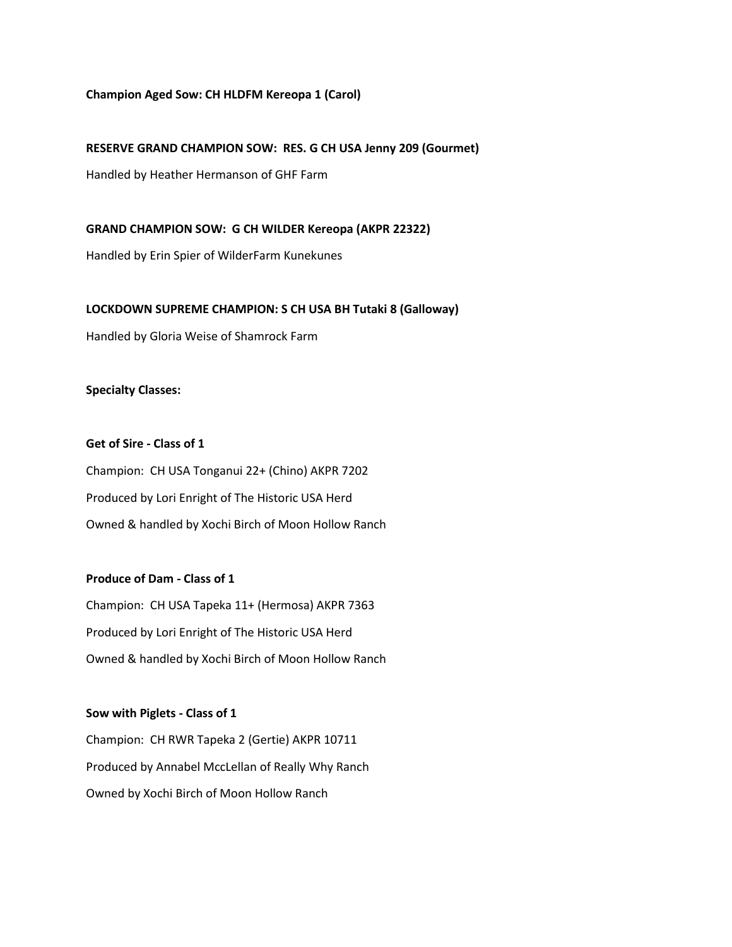#### **Champion Aged Sow: CH HLDFM Kereopa 1 (Carol)**

#### **RESERVE GRAND CHAMPION SOW: RES. G CH USA Jenny 209 (Gourmet)**

Handled by Heather Hermanson of GHF Farm

**GRAND CHAMPION SOW: G CH WILDER Kereopa (AKPR 22322)**

Handled by Erin Spier of WilderFarm Kunekunes

#### **LOCKDOWN SUPREME CHAMPION: S CH USA BH Tutaki 8 (Galloway)**

Handled by Gloria Weise of Shamrock Farm

**Specialty Classes:**

#### **Get of Sire - Class of 1**

Champion: CH USA Tonganui 22+ (Chino) AKPR 7202 Produced by Lori Enright of The Historic USA Herd Owned & handled by Xochi Birch of Moon Hollow Ranch

### **Produce of Dam - Class of 1**

Champion: CH USA Tapeka 11+ (Hermosa) AKPR 7363 Produced by Lori Enright of The Historic USA Herd Owned & handled by Xochi Birch of Moon Hollow Ranch

#### **Sow with Piglets - Class of 1**

Champion: CH RWR Tapeka 2 (Gertie) AKPR 10711 Produced by Annabel MccLellan of Really Why Ranch Owned by Xochi Birch of Moon Hollow Ranch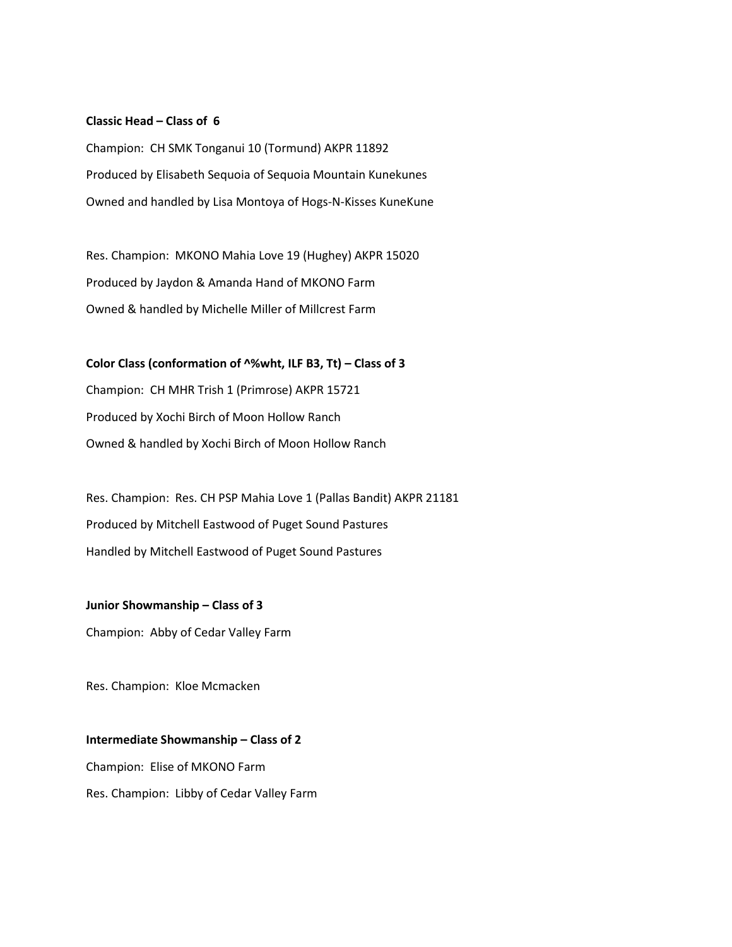#### **Classic Head – Class of 6**

Champion: CH SMK Tonganui 10 (Tormund) AKPR 11892 Produced by Elisabeth Sequoia of Sequoia Mountain Kunekunes Owned and handled by Lisa Montoya of Hogs-N-Kisses KuneKune

Res. Champion: MKONO Mahia Love 19 (Hughey) AKPR 15020 Produced by Jaydon & Amanda Hand of MKONO Farm Owned & handled by Michelle Miller of Millcrest Farm

**Color Class (conformation of ^%wht, ILF B3, Tt) – Class of 3** Champion: CH MHR Trish 1 (Primrose) AKPR 15721 Produced by Xochi Birch of Moon Hollow Ranch Owned & handled by Xochi Birch of Moon Hollow Ranch

Res. Champion: Res. CH PSP Mahia Love 1 (Pallas Bandit) AKPR 21181 Produced by Mitchell Eastwood of Puget Sound Pastures Handled by Mitchell Eastwood of Puget Sound Pastures

**Junior Showmanship – Class of 3** Champion: Abby of Cedar Valley Farm

Res. Champion: Kloe Mcmacken

**Intermediate Showmanship – Class of 2** Champion: Elise of MKONO Farm Res. Champion: Libby of Cedar Valley Farm